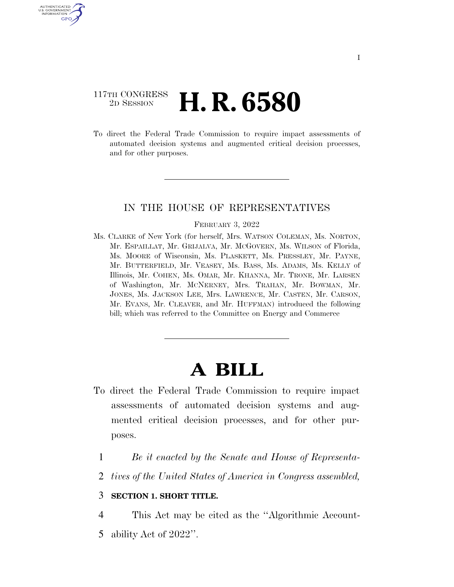### 117TH CONGRESS <sup>2D SESSION</sup> **H. R. 6580**

U.S. GOVERNMENT GPO

> To direct the Federal Trade Commission to require impact assessments of automated decision systems and augmented critical decision processes, and for other purposes.

#### IN THE HOUSE OF REPRESENTATIVES

#### FEBRUARY 3, 2022

Ms. CLARKE of New York (for herself, Mrs. WATSON COLEMAN, Ms. NORTON, Mr. ESPAILLAT, Mr. GRIJALVA, Mr. MCGOVERN, Ms. WILSON of Florida, Ms. MOORE of Wisconsin, Ms. PLASKETT, Ms. PRESSLEY, Mr. PAYNE, Mr. BUTTERFIELD, Mr. VEASEY, Ms. BASS, Ms. ADAMS, Ms. KELLY of Illinois, Mr. COHEN, Ms. OMAR, Mr. KHANNA, Mr. TRONE, Mr. LARSEN of Washington, Mr. MCNERNEY, Mrs. TRAHAN, Mr. BOWMAN, Mr. JONES, Ms. JACKSON LEE, Mrs. LAWRENCE, Mr. CASTEN, Mr. CARSON, Mr. EVANS, Mr. CLEAVER, and Mr. HUFFMAN) introduced the following bill; which was referred to the Committee on Energy and Commerce

# **A BILL**

- To direct the Federal Trade Commission to require impact assessments of automated decision systems and augmented critical decision processes, and for other purposes.
	- 1 *Be it enacted by the Senate and House of Representa-*
	- 2 *tives of the United States of America in Congress assembled,*

#### 3 **SECTION 1. SHORT TITLE.**

4 This Act may be cited as the ''Algorithmic Account-

5 ability Act of 2022''.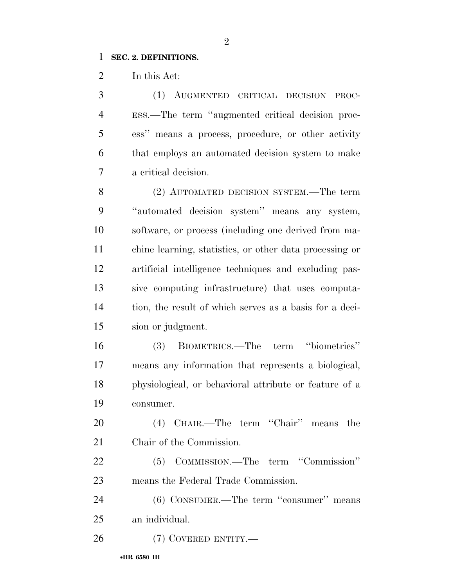#### **SEC. 2. DEFINITIONS.**

In this Act:

 (1) AUGMENTED CRITICAL DECISION PROC- ESS.—The term ''augmented critical decision proc- ess'' means a process, procedure, or other activity that employs an automated decision system to make a critical decision.

 (2) AUTOMATED DECISION SYSTEM.—The term ''automated decision system'' means any system, software, or process (including one derived from ma- chine learning, statistics, or other data processing or artificial intelligence techniques and excluding pas- sive computing infrastructure) that uses computa- tion, the result of which serves as a basis for a deci-sion or judgment.

 (3) BIOMETRICS.—The term ''biometrics'' means any information that represents a biological, physiological, or behavioral attribute or feature of a consumer.

 (4) CHAIR.—The term ''Chair'' means the Chair of the Commission.

 (5) COMMISSION.—The term ''Commission'' means the Federal Trade Commission.

 (6) CONSUMER.—The term ''consumer'' means an individual.

(7) COVERED ENTITY.—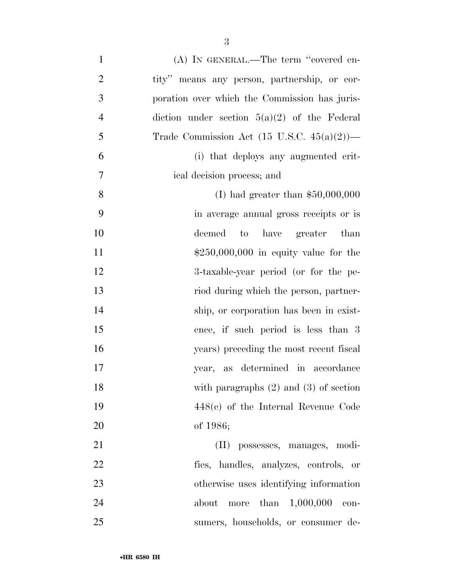| $\mathbf{1}$   | (A) IN GENERAL.—The term "covered en-                  |
|----------------|--------------------------------------------------------|
| $\overline{2}$ | tity" means any person, partnership, or cor-           |
| 3              | poration over which the Commission has juris-          |
| $\overline{4}$ | diction under section $5(a)(2)$ of the Federal         |
| 5              | Trade Commission Act $(15 \text{ U.S.C. } 45(a)(2))$ — |
| 6              | (i) that deploys any augmented crit-                   |
| 7              | ical decision process; and                             |
| 8              | (I) had greater than $$50,000,000$                     |
| 9              | in average annual gross receipts or is                 |
| 10             | to have greater than<br>deemed                         |
| 11             | $$250,000,000$ in equity value for the                 |
| 12             | 3-taxable-year period (or for the pe-                  |
| 13             | riod during which the person, partner-                 |
| 14             | ship, or corporation has been in exist-                |
| 15             | ence, if such period is less than 3                    |
| 16             | years) preceding the most recent fiscal                |
| 17             | year, as determined in accordance                      |
| 18             | with paragraphs $(2)$ and $(3)$ of section             |
| 19             | $448(e)$ of the Internal Revenue Code                  |
| 20             | of $1986;$                                             |
| 21             | (II) possesses, manages, modi-                         |
| 22             | fies, handles, analyzes, controls, or                  |
| 23             | otherwise uses identifying information                 |
| 24             | than $1,000,000$<br>about<br>more<br>con-              |
| 25             | sumers, households, or consumer de-                    |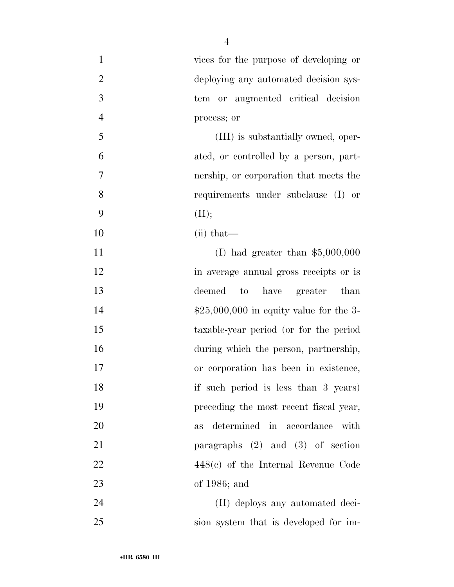| $\mathbf{1}$   | vices for the purpose of developing or          |
|----------------|-------------------------------------------------|
| $\overline{2}$ | deploying any automated decision sys-           |
| $\mathfrak{Z}$ | tem or augmented critical decision              |
| $\overline{4}$ | process; or                                     |
| 5              | (III) is substantially owned, oper-             |
| 6              | ated, or controlled by a person, part-          |
| 7              | nership, or corporation that meets the          |
| 8              | requirements under subclause (I) or             |
| 9              | (II);                                           |
| 10             | $(ii)$ that—                                    |
| 11             | (I) had greater than $$5,000,000$               |
| 12             | in average annual gross receipts or is          |
| 13             | deemed<br>have<br>greater than<br>$\mathrm{to}$ |
| 14             | $$25,000,000$ in equity value for the 3-        |
| 15             | taxable-year period (or for the period          |
| 16             | during which the person, partnership,           |
| 17             | or corporation has been in existence,           |
| 18             | if such period is less than 3 years)            |
| 19             | preceding the most recent fiscal year,          |
| 20             | determined in accordance<br>with<br><b>as</b>   |
| 21             | paragraphs $(2)$ and $(3)$ of section           |
| 22             | $448(e)$ of the Internal Revenue Code           |
| 23             | of $1986$ ; and                                 |
| 24             | (II) deploys any automated deci-                |
| 25             | sion system that is developed for im-           |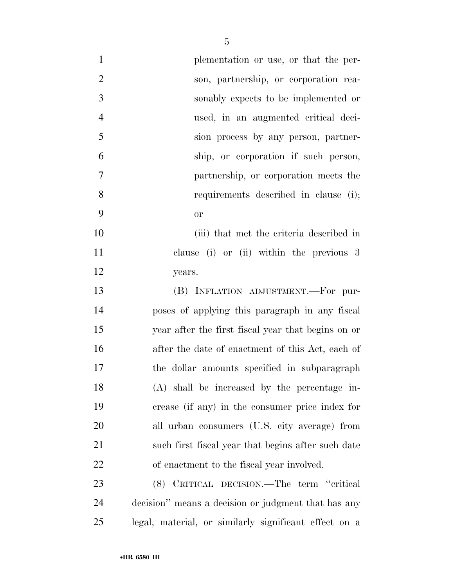| $\mathbf{1}$   | plementation or use, or that the per-                 |
|----------------|-------------------------------------------------------|
| $\overline{2}$ | son, partnership, or corporation rea-                 |
| 3              | sonably expects to be implemented or                  |
| $\overline{4}$ | used, in an augmented critical deci-                  |
| 5              | sion process by any person, partner-                  |
| 6              | ship, or corporation if such person,                  |
| 7              | partnership, or corporation meets the                 |
| 8              | requirements described in clause (i);                 |
| 9              | <b>or</b>                                             |
| 10             | (iii) that met the criteria described in              |
| 11             | clause (i) or (ii) within the previous 3              |
| 12             | years.                                                |
| 13             | (B) INFLATION ADJUSTMENT.-For pur-                    |
| 14             | poses of applying this paragraph in any fiscal        |
| 15             | year after the first fiscal year that begins on or    |
| 16             | after the date of enactment of this Act, each of      |
| 17             | the dollar amounts specified in subparagraph          |
| 18             | (A) shall be increased by the percentage in-          |
| 19             | crease (if any) in the consumer price index for       |
| 20             | all urban consumers (U.S. city average) from          |
| 21             | such first fiscal year that begins after such date    |
| 22             | of enactment to the fiscal year involved.             |
| 23             | (8) CRITICAL DECISION.—The term "critical             |
| 24             | decision" means a decision or judgment that has any   |
| 25             | legal, material, or similarly significant effect on a |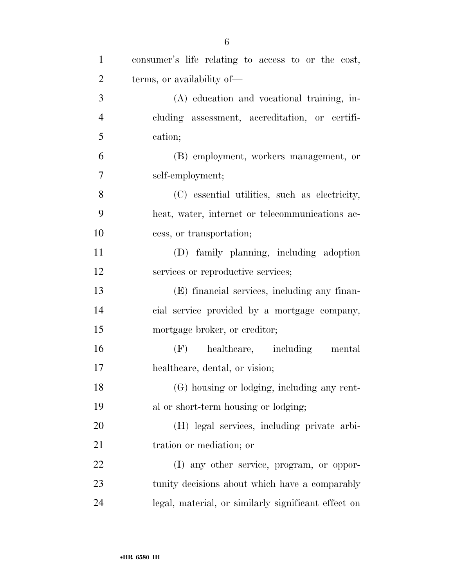| $\mathbf{1}$   | consumer's life relating to access to or the cost,  |
|----------------|-----------------------------------------------------|
| $\overline{2}$ | terms, or availability of—                          |
| 3              | (A) education and vocational training, in-          |
| $\overline{4}$ | cluding assessment, accreditation, or certifi-      |
| 5              | cation;                                             |
| 6              | (B) employment, workers management, or              |
| 7              | self-employment;                                    |
| 8              | (C) essential utilities, such as electricity,       |
| 9              | heat, water, internet or telecommunications ac-     |
| 10             | cess, or transportation;                            |
| 11             | (D) family planning, including adoption             |
| 12             | services or reproductive services;                  |
| 13             | (E) financial services, including any finan-        |
| 14             | cial service provided by a mortgage company,        |
| 15             | mortgage broker, or creditor;                       |
| 16             | $(F)$ healthcare, including<br>mental               |
| 17             | healthcare, dental, or vision;                      |
| 18             | (G) housing or lodging, including any rent-         |
| 19             | al or short-term housing or lodging;                |
| 20             | (H) legal services, including private arbi-         |
| 21             | tration or mediation; or                            |
| 22             | (I) any other service, program, or oppor-           |
| 23             | tunity decisions about which have a comparably      |
| 24             | legal, material, or similarly significant effect on |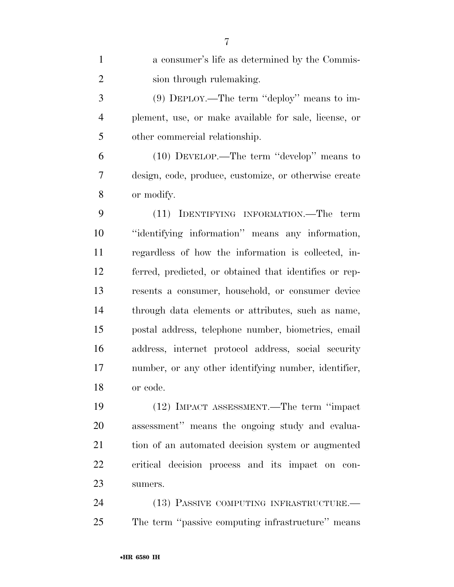| $\mathbf{1}$   | a consumer's life as determined by the Commis-         |
|----------------|--------------------------------------------------------|
| $\overline{2}$ | sion through rulemaking.                               |
| 3              | $(9)$ DEPLOY.—The term "deploy" means to im-           |
| $\overline{4}$ | plement, use, or make available for sale, license, or  |
| 5              | other commercial relationship.                         |
| 6              | (10) DEVELOP.—The term "develop" means to              |
| 7              | design, code, produce, customize, or otherwise create  |
| 8              | or modify.                                             |
| 9              | (11) IDENTIFYING INFORMATION.—The term                 |
| 10             | "identifying information" means any information,       |
| 11             | regardless of how the information is collected, in-    |
| 12             | ferred, predicted, or obtained that identifies or rep- |
| 13             | resents a consumer, household, or consumer device      |
| 14             | through data elements or attributes, such as name,     |
| 15             | postal address, telephone number, biometrics, email    |
| 16             | address, internet protocol address, social security    |
| 17             | number, or any other identifying number, identifier,   |
| 18             | or code.                                               |
| 19             | (12) IMPACT ASSESSMENT.—The term "impact               |
| 20             | assessment" means the ongoing study and evalua-        |
| 21             | tion of an automated decision system or augmented      |
| 22             | critical decision process and its impact on con-       |
| 23             | sumers.                                                |
| 24             | (13) PASSIVE COMPITTING INFRASTRUCTURE                 |

24 (13) PASSIVE COMPUTING INFRASTRUCTURE. The term ''passive computing infrastructure'' means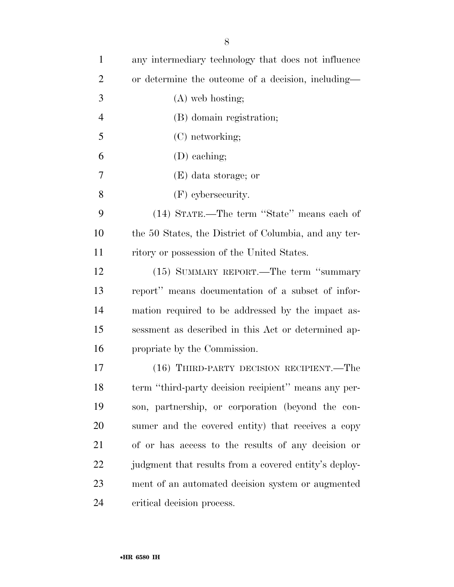| $\mathbf{1}$   | any intermediary technology that does not influence   |
|----------------|-------------------------------------------------------|
| $\overline{2}$ | or determine the outcome of a decision, including—    |
| 3              | $(A)$ web hosting;                                    |
| $\overline{4}$ | (B) domain registration;                              |
| 5              | (C) networking;                                       |
| 6              | (D) eaching;                                          |
| 7              | (E) data storage; or                                  |
| 8              | $(F)$ cybersecurity.                                  |
| 9              | (14) STATE.—The term "State" means each of            |
| 10             | the 50 States, the District of Columbia, and any ter- |
| 11             | ritory or possession of the United States.            |
| 12             | (15) SUMMARY REPORT.—The term "summary                |
| 13             | report" means documentation of a subset of infor-     |
| 14             | mation required to be addressed by the impact as-     |
| 15             | sessment as described in this Act or determined ap-   |
| 16             | propriate by the Commission.                          |
| 17             | (16) THIRD-PARTY DECISION RECIPIENT.—The              |
| 18             | term "third-party decision recipient" means any per-  |
| 19             | son, partnership, or corporation (beyond the con-     |
| 20             | sumer and the covered entity) that receives a copy    |
| 21             | of or has access to the results of any decision or    |
| 22             | judgment that results from a covered entity's deploy- |
| 23             | ment of an automated decision system or augmented     |
| 24             | critical decision process.                            |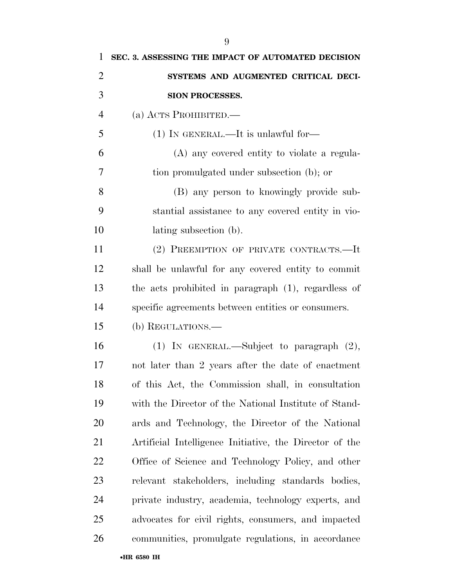| 1              | SEC. 3. ASSESSING THE IMPACT OF AUTOMATED DECISION      |
|----------------|---------------------------------------------------------|
| $\overline{2}$ | SYSTEMS AND AUGMENTED CRITICAL DECI-                    |
| 3              | SION PROCESSES.                                         |
| $\overline{4}$ | (a) ACTS PROHIBITED.                                    |
| 5              | $(1)$ IN GENERAL.—It is unlawful for—                   |
| 6              | (A) any covered entity to violate a regula-             |
| 7              | tion promulgated under subsection (b); or               |
| 8              | (B) any person to knowingly provide sub-                |
| 9              | stantial assistance to any covered entity in vio-       |
| 10             | lating subsection (b).                                  |
| 11             | (2) PREEMPTION OF PRIVATE CONTRACTS.—It                 |
| 12             | shall be unlawful for any covered entity to commit      |
| 13             | the acts prohibited in paragraph (1), regardless of     |
| 14             | specific agreements between entities or consumers.      |
| 15             | (b) REGULATIONS.—                                       |
| 16             | (1) IN GENERAL.—Subject to paragraph $(2)$ ,            |
| 17             | not later than 2 years after the date of enactment      |
| 18             | of this Act, the Commission shall, in consultation      |
| 19             | with the Director of the National Institute of Stand-   |
| 20             | ards and Technology, the Director of the National       |
| 21             | Artificial Intelligence Initiative, the Director of the |
| 22             | Office of Science and Technology Policy, and other      |
| 23             | relevant stakeholders, including standards bodies,      |
| 24             | private industry, academia, technology experts, and     |
| 25             | advocates for civil rights, consumers, and impacted     |
| 26             | communities, promulgate regulations, in accordance      |
|                | •HR 6580 IH                                             |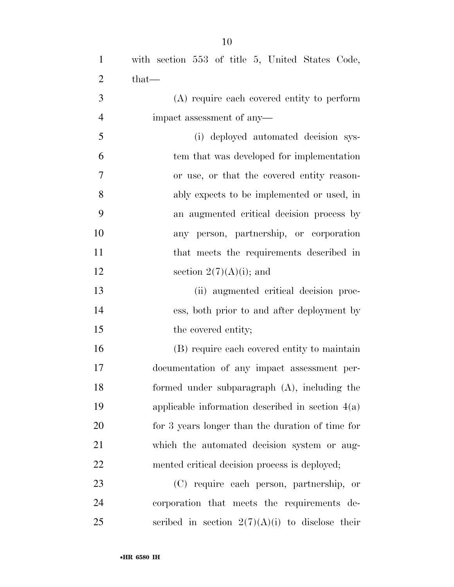| $\mathbf{1}$   | with section 553 of title 5, United States Code,   |
|----------------|----------------------------------------------------|
| $\overline{2}$ | $that-$                                            |
| 3              | (A) require each covered entity to perform         |
| $\overline{4}$ | impact assessment of any-                          |
| 5              | (i) deployed automated decision sys-               |
| 6              | tem that was developed for implementation          |
| 7              | or use, or that the covered entity reason-         |
| 8              | ably expects to be implemented or used, in         |
| 9              | an augmented critical decision process by          |
| 10             | any person, partnership, or corporation            |
| 11             | that meets the requirements described in           |
| 12             | section $2(7)(A)(i)$ ; and                         |
| 13             | (ii) augmented critical decision proc-             |
| 14             | ess, both prior to and after deployment by         |
| 15             | the covered entity;                                |
| 16             | (B) require each covered entity to maintain        |
| 17             | documentation of any impact assessment per-        |
| 18             | formed under subparagraph (A), including the       |
| 19             | applicable information described in section $4(a)$ |
| 20             | for 3 years longer than the duration of time for   |
| 21             | which the automated decision system or aug-        |
| 22             | mented critical decision process is deployed;      |
| 23             | (C) require each person, partnership, or           |
| 24             | corporation that meets the requirements de-        |

25 scribed in section  $2(7)(A)(i)$  to disclose their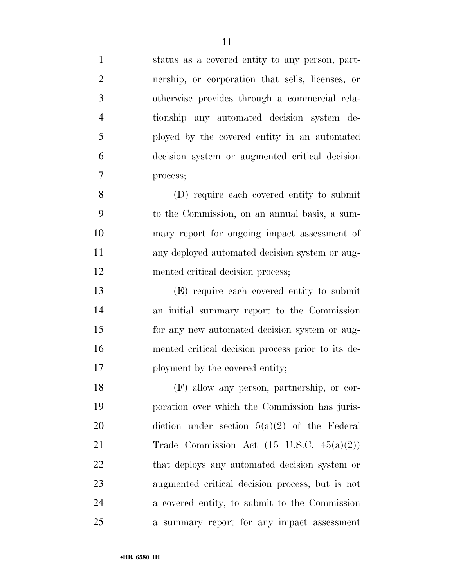| $\mathbf{1}$   | status as a covered entity to any person, part-      |
|----------------|------------------------------------------------------|
| $\mathfrak{2}$ | nership, or corporation that sells, licenses, or     |
| 3              | otherwise provides through a commercial rela-        |
| $\overline{4}$ | tionship any automated decision system de-           |
| 5              | ployed by the covered entity in an automated         |
| 6              | decision system or augmented critical decision       |
| $\overline{7}$ | process;                                             |
| 8              | (D) require each covered entity to submit            |
| 9              | to the Commission, on an annual basis, a sum-        |
| 10             | mary report for ongoing impact assessment of         |
| 11             | any deployed automated decision system or aug-       |
| 12             | mented critical decision process;                    |
| 13             | (E) require each covered entity to submit            |
| 14             | an initial summary report to the Commission          |
| 15             | for any new automated decision system or aug-        |
| 16             | mented critical decision process prior to its de-    |
| 17             | ployment by the covered entity;                      |
| 18             | (F) allow any person, partnership, or cor-           |
| 19             | poration over which the Commission has juris-        |
| 20             | diction under section $5(a)(2)$ of the Federal       |
| 21             | Trade Commission Act $(15 \text{ U.S.C. } 45(a)(2))$ |
| 22             | that deploys any automated decision system or        |
| 23             | augmented critical decision process, but is not      |
| 24             | a covered entity, to submit to the Commission        |
| 25             | a summary report for any impact assessment           |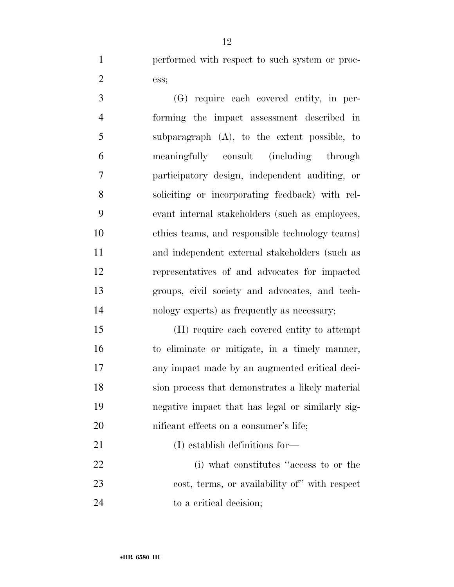performed with respect to such system or proc-ess;

 (G) require each covered entity, in per- forming the impact assessment described in subparagraph (A), to the extent possible, to meaningfully consult (including through participatory design, independent auditing, or soliciting or incorporating feedback) with rel- evant internal stakeholders (such as employees, ethics teams, and responsible technology teams) and independent external stakeholders (such as representatives of and advocates for impacted groups, civil society and advocates, and tech-nology experts) as frequently as necessary;

 (H) require each covered entity to attempt to eliminate or mitigate, in a timely manner, any impact made by an augmented critical deci- sion process that demonstrates a likely material negative impact that has legal or similarly sig-20 nificant effects on a consumer's life;

 (i) what constitutes ''access to or the cost, terms, or availability of'' with respect 24 to a critical decision;

21 (I) establish definitions for—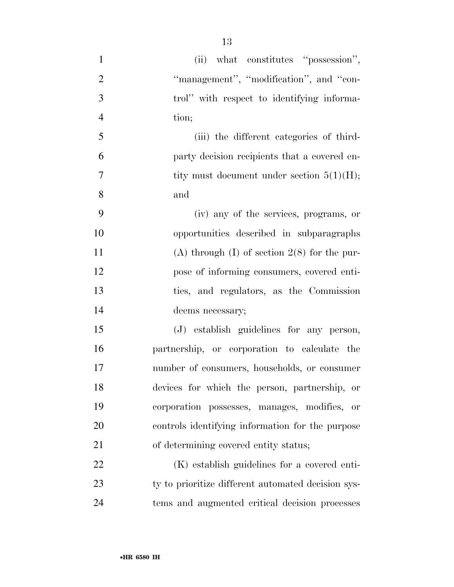| $\mathbf{1}$   | (ii) what constitutes "possession",                    |
|----------------|--------------------------------------------------------|
| $\overline{2}$ | "management", "modification", and "con-                |
| 3              | trol" with respect to identifying informa-             |
| $\overline{4}$ | tion;                                                  |
| 5              | (iii) the different categories of third-               |
| 6              | party decision recipients that a covered en-           |
| $\overline{7}$ | tity must document under section $5(1)(H)$ ;           |
| 8              | and                                                    |
| 9              | (iv) any of the services, programs, or                 |
| 10             | opportunities described in subparagraphs               |
| 11             | (A) through $(I)$ of section $2(8)$ for the pur-       |
| 12             | pose of informing consumers, covered enti-             |
| 13             | ties, and regulators, as the Commission                |
| 14             | deems necessary;                                       |
| 15             | (J) establish guidelines for any person,               |
| 16             | partnership, or corporation to calculate the           |
| 17             | number of consumers, households, or consumer           |
| 18             | devices for which the person, partnership, or          |
| 19             | corporation possesses, manages, modifies,<br><b>or</b> |
| 20             | controls identifying information for the purpose       |
| 21             | of determining covered entity status;                  |
| 22             | (K) establish guidelines for a covered enti-           |
| 23             | ty to prioritize different automated decision sys-     |
| 24             | tems and augmented critical decision processes         |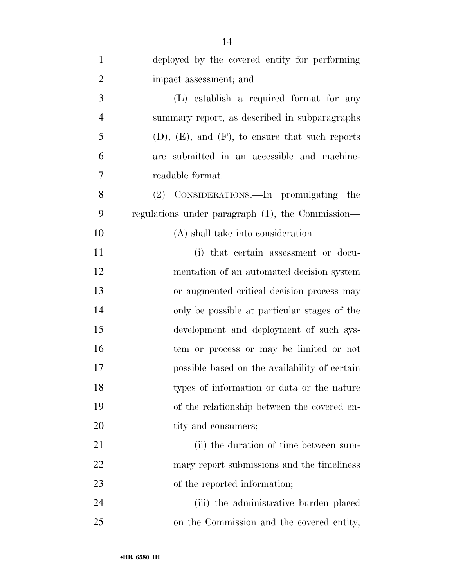| $\mathbf{1}$   | deployed by the covered entity for performing           |
|----------------|---------------------------------------------------------|
| $\overline{2}$ | impact assessment; and                                  |
| 3              | (L) establish a required format for any                 |
| $\overline{4}$ | summary report, as described in subparagraphs           |
| 5              | $(D)$ , $(E)$ , and $(F)$ , to ensure that such reports |
| 6              | are submitted in an accessible and machine-             |
| 7              | readable format.                                        |
| 8              | (2) CONSIDERATIONS.—In promulgating the                 |
| 9              | regulations under paragraph (1), the Commission—        |
| 10             | (A) shall take into consideration—                      |
| 11             | (i) that certain assessment or docu-                    |
| 12             | mentation of an automated decision system               |
| 13             | or augmented critical decision process may              |
| 14             | only be possible at particular stages of the            |
| 15             | development and deployment of such sys-                 |
| 16             | tem or process or may be limited or not                 |
| 17             | possible based on the availability of certain           |
| 18             | types of information or data or the nature              |
| 19             | of the relationship between the covered en-             |
| 20             | tity and consumers;                                     |
| 21             | (ii) the duration of time between sum-                  |
| 22             | mary report submissions and the timeliness              |
| 23             | of the reported information;                            |
| 24             | (iii) the administrative burden placed                  |
| 25             | on the Commission and the covered entity;               |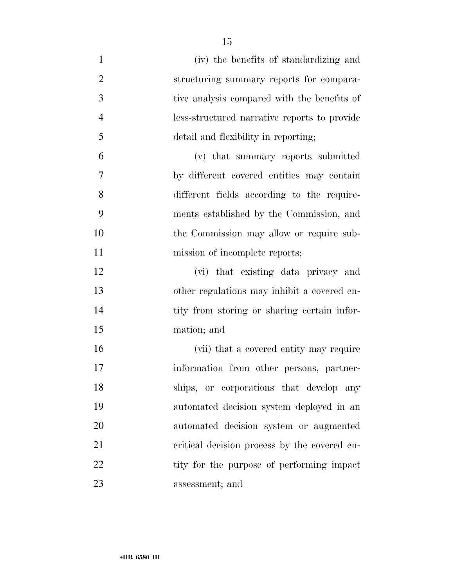(iv) the benefits of standardizing and structuring summary reports for compara- tive analysis compared with the benefits of less-structured narrative reports to provide detail and flexibility in reporting; (v) that summary reports submitted by different covered entities may contain different fields according to the require- ments established by the Commission, and the Commission may allow or require sub-11 mission of incomplete reports; (vi) that existing data privacy and other regulations may inhibit a covered en-14 tity from storing or sharing certain infor- mation; and 16 (vii) that a covered entity may require information from other persons, partner- ships, or corporations that develop any automated decision system deployed in an automated decision system or augmented 21 critical decision process by the covered en-

22 tity for the purpose of performing impact

assessment; and

•**HR 6580 IH**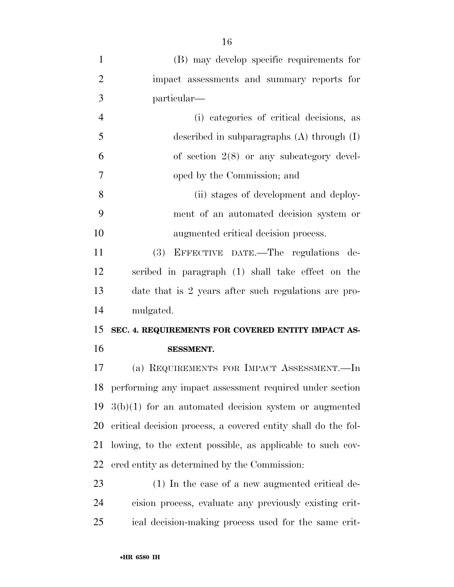| $\mathbf{1}$   | (B) may develop specific requirements for                      |
|----------------|----------------------------------------------------------------|
| $\overline{2}$ | impact assessments and summary reports for                     |
| 3              | particular—                                                    |
| $\overline{4}$ | (i) categories of critical decisions, as                       |
| 5              | described in subparagraphs $(A)$ through $(I)$                 |
| 6              | of section $2(8)$ or any subcategory devel-                    |
| $\overline{7}$ | oped by the Commission; and                                    |
| 8              | (ii) stages of development and deploy-                         |
| 9              | ment of an automated decision system or                        |
| 10             | augmented critical decision process.                           |
| 11             | (3)<br>EFFECTIVE DATE.—The regulations de-                     |
| 12             | scribed in paragraph (1) shall take effect on the              |
| 13             | date that is 2 years after such regulations are pro-           |
| 14             | mulgated.                                                      |
|                |                                                                |
| 15             | SEC. 4. REQUIREMENTS FOR COVERED ENTITY IMPACT AS-             |
| 16             | <b>SESSMENT.</b>                                               |
| 17             | (a) REQUIREMENTS FOR IMPACT ASSESSMENT.-In                     |
|                | 18 performing any impact assessment required under section     |
|                | $19\quad3(b)(1)$ for an automated decision system or augmented |
| 20             | critical decision process, a covered entity shall do the fol-  |
| 21             | lowing, to the extent possible, as applicable to such cov-     |
| 22             | ered entity as determined by the Commission:                   |
| 23             | $(1)$ In the case of a new augmented critical de-              |
| 24             | cision process, evaluate any previously existing crit-         |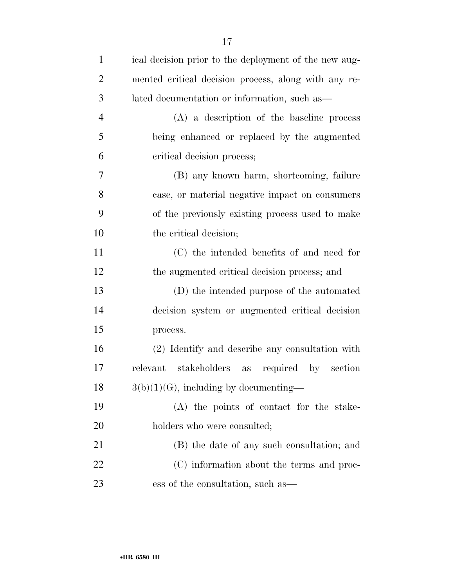| $\mathbf{1}$   | ical decision prior to the deployment of the new aug-       |
|----------------|-------------------------------------------------------------|
| $\overline{2}$ | mented critical decision process, along with any re-        |
| 3              | lated documentation or information, such as—                |
| $\overline{4}$ | $(A)$ a description of the baseline process                 |
| 5              | being enhanced or replaced by the augmented                 |
| 6              | critical decision process;                                  |
| 7              | (B) any known harm, shortcoming, failure                    |
| 8              | case, or material negative impact on consumers              |
| 9              | of the previously existing process used to make             |
| 10             | the critical decision;                                      |
| 11             | (C) the intended benefits of and need for                   |
| 12             | the augmented critical decision process; and                |
| 13             | (D) the intended purpose of the automated                   |
| 14             | decision system or augmented critical decision              |
| 15             | process.                                                    |
| 16             | (2) Identify and describe any consultation with             |
| 17             | stakeholders<br>required<br>section<br>relevant<br>as<br>by |
| 18             | $3(b)(1)(G)$ , including by documenting-                    |
| 19             | (A) the points of contact for the stake-                    |
| 20             | holders who were consulted;                                 |
| 21             | (B) the date of any such consultation; and                  |
| 22             | (C) information about the terms and proc-                   |
| 23             | ess of the consultation, such as —                          |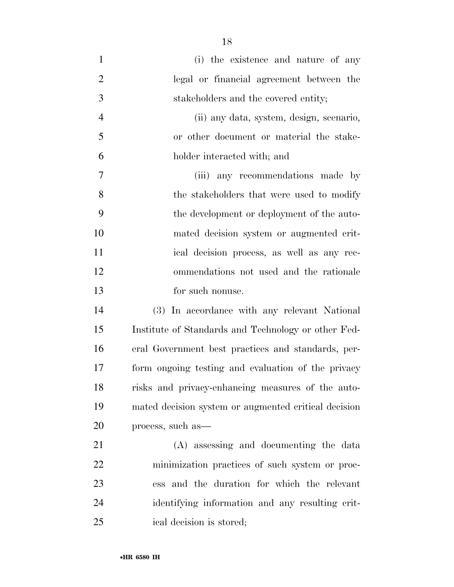(i) the existence and nature of any legal or financial agreement between the stakeholders and the covered entity; (ii) any data, system, design, scenario, or other document or material the stake- holder interacted with; and (iii) any recommendations made by 8 the stakeholders that were used to modify the development or deployment of the auto- mated decision system or augmented crit- ical decision process, as well as any rec- ommendations not used and the rationale for such nonuse. (3) In accordance with any relevant National Institute of Standards and Technology or other Fed-

 mated decision system or augmented critical decision process, such as— (A) assessing and documenting the data minimization practices of such system or proc- ess and the duration for which the relevant identifying information and any resulting crit-

eral Government best practices and standards, per-

form ongoing testing and evaluation of the privacy

risks and privacy-enhancing measures of the auto-

ical decision is stored;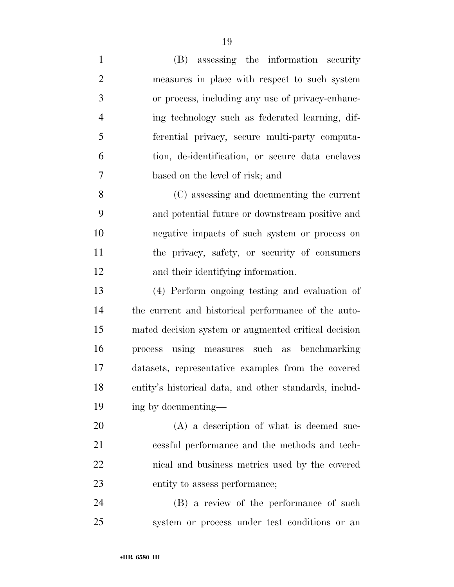(B) assessing the information security measures in place with respect to such system or process, including any use of privacy-enhanc- ing technology such as federated learning, dif- ferential privacy, secure multi-party computa- tion, de-identification, or secure data enclaves based on the level of risk; and (C) assessing and documenting the current and potential future or downstream positive and negative impacts of such system or process on the privacy, safety, or security of consumers and their identifying information. (4) Perform ongoing testing and evaluation of the current and historical performance of the auto- mated decision system or augmented critical decision process using measures such as benchmarking datasets, representative examples from the covered entity's historical data, and other standards, includ-ing by documenting—

20 (A) a description of what is deemed suc- cessful performance and the methods and tech- nical and business metrics used by the covered entity to assess performance;

 (B) a review of the performance of such system or process under test conditions or an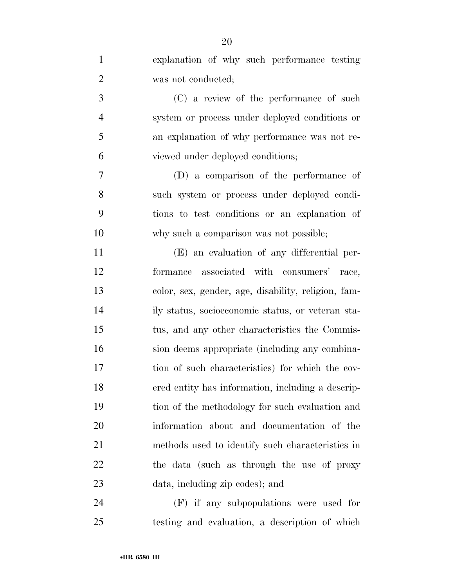| $\mathbf{1}$   | explanation of why such performance testing         |
|----------------|-----------------------------------------------------|
| $\overline{2}$ | was not conducted;                                  |
| 3              | (C) a review of the performance of such             |
| $\overline{4}$ | system or process under deployed conditions or      |
| 5              | an explanation of why performance was not re-       |
| 6              | viewed under deployed conditions;                   |
| $\overline{7}$ | (D) a comparison of the performance of              |
| 8              | such system or process under deployed condi-        |
| 9              | tions to test conditions or an explanation of       |
| 10             | why such a comparison was not possible;             |
| 11             | (E) an evaluation of any differential per-          |
| 12             | associated with consumers' race,<br>formance        |
| 13             | color, sex, gender, age, disability, religion, fam- |
| 14             | ily status, socioeconomic status, or veteran sta-   |
| 15             | tus, and any other characteristics the Commis-      |
| 16             | sion deems appropriate (including any combina-      |
| 17             | tion of such characteristics) for which the cov-    |
| 18             | ered entity has information, including a descrip-   |
| 19             | tion of the methodology for such evaluation and     |
| 20             | information about and documentation of the          |
| 21             | methods used to identify such characteristics in    |
| 22             | the data (such as through the use of proxy          |
| 23             | data, including zip codes); and                     |
| 24             | (F) if any subpopulations were used for             |

testing and evaluation, a description of which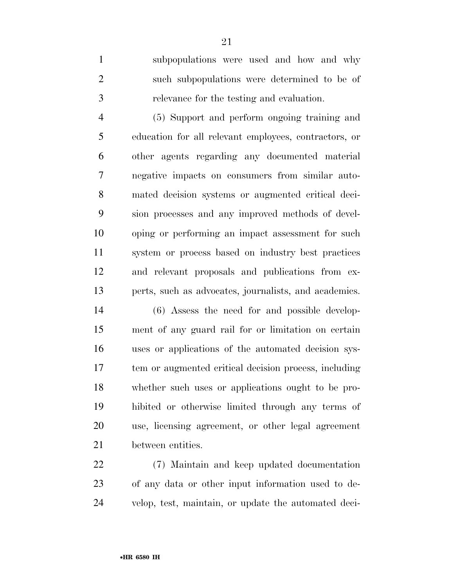subpopulations were used and how and why such subpopulations were determined to be of relevance for the testing and evaluation.

 (5) Support and perform ongoing training and education for all relevant employees, contractors, or other agents regarding any documented material negative impacts on consumers from similar auto- mated decision systems or augmented critical deci- sion processes and any improved methods of devel- oping or performing an impact assessment for such system or process based on industry best practices and relevant proposals and publications from ex-perts, such as advocates, journalists, and academics.

 (6) Assess the need for and possible develop- ment of any guard rail for or limitation on certain uses or applications of the automated decision sys- tem or augmented critical decision process, including whether such uses or applications ought to be pro- hibited or otherwise limited through any terms of use, licensing agreement, or other legal agreement between entities.

 (7) Maintain and keep updated documentation of any data or other input information used to de-velop, test, maintain, or update the automated deci-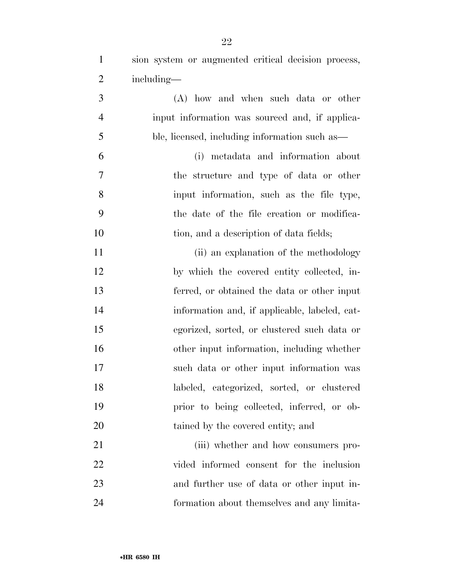- sion system or augmented critical decision process, including— (A) how and when such data or other input information was sourced and, if applica- ble, licensed, including information such as— (i) metadata and information about the structure and type of data or other input information, such as the file type, the date of the file creation or modifica-10 tion, and a description of data fields; 11 (ii) an explanation of the methodology by which the covered entity collected, in- ferred, or obtained the data or other input information and, if applicable, labeled, cat- egorized, sorted, or clustered such data or other input information, including whether such data or other input information was labeled, categorized, sorted, or clustered prior to being collected, inferred, or ob-20 tained by the covered entity; and 21 (iii) whether and how consumers pro-
- vided informed consent for the inclusion and further use of data or other input in-formation about themselves and any limita-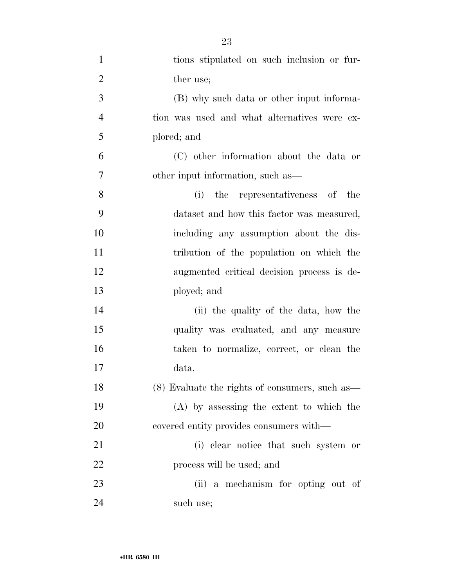| $\mathbf{1}$   | tions stipulated on such inclusion or fur-     |
|----------------|------------------------------------------------|
| $\overline{2}$ | ther use;                                      |
| 3              | (B) why such data or other input informa-      |
| $\overline{4}$ | tion was used and what alternatives were ex-   |
| 5              | plored; and                                    |
| 6              | (C) other information about the data or        |
| $\tau$         | other input information, such as—              |
| 8              | the representativeness of the<br>(i)           |
| 9              | dataset and how this factor was measured,      |
| 10             | including any assumption about the dis-        |
| 11             | tribution of the population on which the       |
| 12             | augmented critical decision process is de-     |
| 13             | ployed; and                                    |
| 14             | (ii) the quality of the data, how the          |
| 15             | quality was evaluated, and any measure         |
| 16             | taken to normalize, correct, or clean the      |
| 17             | data.                                          |
| 18             | (8) Evaluate the rights of consumers, such as— |
| 19             | (A) by assessing the extent to which the       |
| 20             | covered entity provides consumers with—        |
| 21             | (i) clear notice that such system or           |
| 22             | process will be used; and                      |
| 23             | (ii) a mechanism for opting out of             |
| 24             | such use;                                      |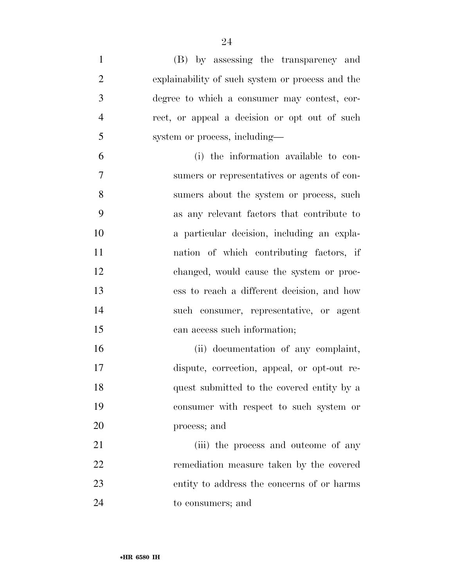(B) by assessing the transparency and explainability of such system or process and the degree to which a consumer may contest, cor- rect, or appeal a decision or opt out of such system or process, including— (i) the information available to con- sumers or representatives or agents of con- sumers about the system or process, such as any relevant factors that contribute to a particular decision, including an expla- nation of which contributing factors, if changed, would cause the system or proc- ess to reach a different decision, and how such consumer, representative, or agent can access such information; (ii) documentation of any complaint, dispute, correction, appeal, or opt-out re- quest submitted to the covered entity by a consumer with respect to such system or process; and 21 (iii) the process and outcome of any remediation measure taken by the covered

to consumers; and

entity to address the concerns of or harms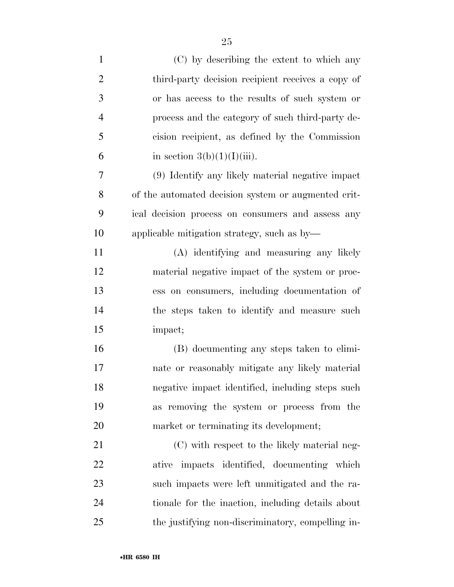| $\mathbf{1}$   | (C) by describing the extent to which any           |
|----------------|-----------------------------------------------------|
| $\overline{2}$ | third-party decision recipient receives a copy of   |
| 3              | or has access to the results of such system or      |
| $\overline{4}$ | process and the category of such third-party de-    |
| 5              | cision recipient, as defined by the Commission      |
| 6              | in section $3(b)(1)(I)(iii)$ .                      |
| 7              | (9) Identify any likely material negative impact    |
| 8              | of the automated decision system or augmented crit- |
| 9              | ical decision process on consumers and assess any   |
| 10             | applicable mitigation strategy, such as by-         |
| 11             | (A) identifying and measuring any likely            |
| 12             | material negative impact of the system or proc-     |
| 13             | ess on consumers, including documentation of        |
| 14             | the steps taken to identify and measure such        |
| 15             | impact;                                             |
| 16             | (B) documenting any steps taken to elimi-           |
| 17             | nate or reasonably mitigate any likely material     |
| 18             | negative impact identified, including steps such    |
| 19             | as removing the system or process from the          |
| 20             | market or terminating its development;              |
| 21             | (C) with respect to the likely material neg-        |
| 22             | ative impacts identified, documenting which         |
| 23             | such impacts were left unmitigated and the ra-      |
| 24             | tionale for the inaction, including details about   |
| 25             | the justifying non-discriminatory, compelling in-   |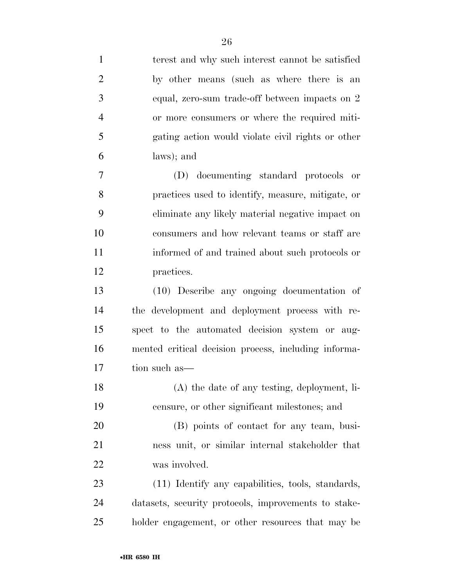| $\mathbf{1}$   | terest and why such interest cannot be satisfied     |
|----------------|------------------------------------------------------|
| $\overline{2}$ | by other means (such as where there is an            |
| 3              | equal, zero-sum trade-off between impacts on 2       |
| $\overline{4}$ | or more consumers or where the required miti-        |
| 5              | gating action would violate civil rights or other    |
| 6              | laws); and                                           |
| 7              | (D) documenting standard protocols or                |
| 8              | practices used to identify, measure, mitigate, or    |
| 9              | eliminate any likely material negative impact on     |
| 10             | consumers and how relevant teams or staff are        |
| 11             | informed of and trained about such protocols or      |
| 12             | practices.                                           |
| 13             | (10) Describe any ongoing documentation of           |
| 14             | the development and deployment process with re-      |
| 15             | spect to the automated decision system or aug-       |
| 16             | mented critical decision process, including informa- |
| 17             | tion such as—                                        |
| 18             | (A) the date of any testing, deployment, li-         |
| 19             | censure, or other significant milestones; and        |
| 20             | (B) points of contact for any team, busi-            |
| 21             | ness unit, or similar internal stakeholder that      |
| 22             | was involved.                                        |
| 23             | (11) Identify any capabilities, tools, standards,    |
| 24             | datasets, security protocols, improvements to stake- |
| 25             | holder engagement, or other resources that may be    |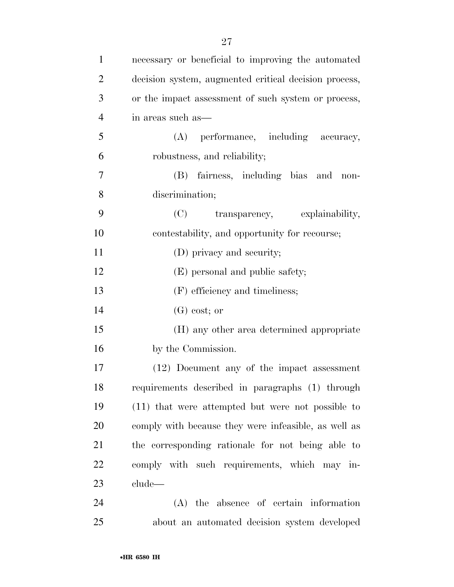| $\mathbf{1}$   | necessary or beneficial to improving the automated    |
|----------------|-------------------------------------------------------|
| $\overline{2}$ | decision system, augmented critical decision process, |
| 3              | or the impact assessment of such system or process,   |
| $\overline{4}$ | in areas such as—                                     |
| 5              | performance, including accuracy,<br>(A)               |
| 6              | robustness, and reliability;                          |
| $\overline{7}$ | (B) fairness, including bias and non-                 |
| 8              | discrimination;                                       |
| 9              | (C)<br>transparency, explainability,                  |
| 10             | contestability, and opportunity for recourse;         |
| 11             | (D) privacy and security;                             |
| 12             | (E) personal and public safety;                       |
| 13             | (F) efficiency and timeliness;                        |
| 14             | $(G)$ cost; or                                        |
| 15             | (H) any other area determined appropriate             |
| 16             | by the Commission.                                    |
| 17             | (12) Document any of the impact assessment            |
| 18             | requirements described in paragraphs (1) through      |
| 19             | (11) that were attempted but were not possible to     |
| 20             | comply with because they were infeasible, as well as  |
| 21             | the corresponding rationale for not being able to     |
| 22             | comply with such requirements, which may in-          |
| 23             | clude—                                                |
| 24             | (A) the absence of certain information                |
| 25             | about an automated decision system developed          |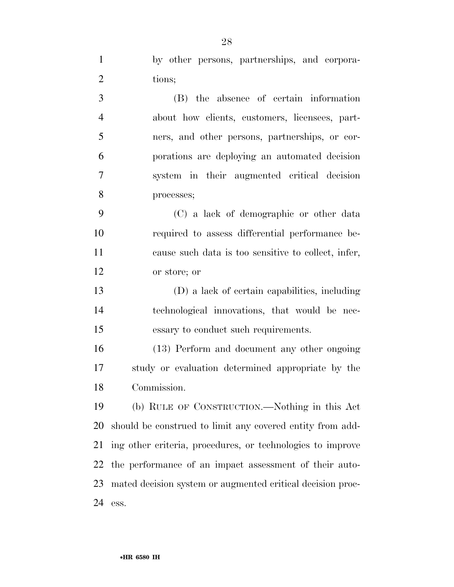| $\mathbf{1}$   | by other persons, partnerships, and corpora-               |
|----------------|------------------------------------------------------------|
| $\overline{2}$ | tions;                                                     |
| 3              | (B) the absence of certain information                     |
| $\overline{4}$ | about how clients, customers, licensees, part-             |
| 5              | ners, and other persons, partnerships, or cor-             |
| 6              | porations are deploying an automated decision              |
| $\overline{7}$ | system in their augmented critical decision                |
| 8              | processes;                                                 |
| 9              | (C) a lack of demographic or other data                    |
| 10             | required to assess differential performance be-            |
| 11             | cause such data is too sensitive to collect, infer,        |
| 12             | or store; or                                               |
| 13             | (D) a lack of certain capabilities, including              |
| 14             | technological innovations, that would be nec-              |
| 15             | essary to conduct such requirements.                       |
| 16             | (13) Perform and document any other ongoing                |
| 17             | study or evaluation determined appropriate by the          |
| 18             | Commission.                                                |
| 19             | (b) RULE OF CONSTRUCTION.—Nothing in this Act              |
| 20             | should be construed to limit any covered entity from add-  |
| 21             | ing other criteria, procedures, or technologies to improve |
| 22             | the performance of an impact assessment of their auto-     |
| 23             | mated decision system or augmented critical decision proc- |
| 24             | ess.                                                       |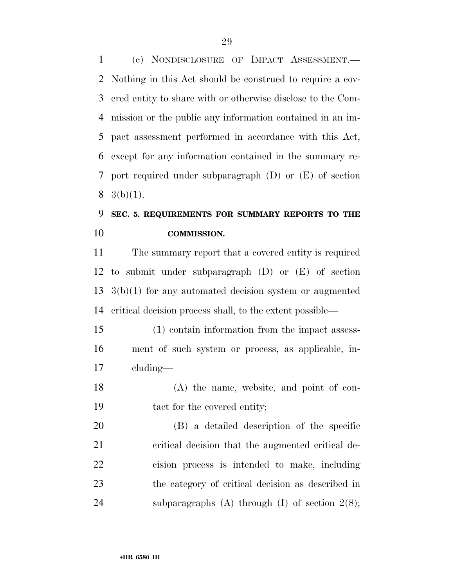(c) NONDISCLOSURE OF IMPACT ASSESSMENT.— Nothing in this Act should be construed to require a cov- ered entity to share with or otherwise disclose to the Com- mission or the public any information contained in an im- pact assessment performed in accordance with this Act, except for any information contained in the summary re- port required under subparagraph (D) or (E) of section  $8 \text{ } 3(b)(1).$ 

## **SEC. 5. REQUIREMENTS FOR SUMMARY REPORTS TO THE COMMISSION.**

 The summary report that a covered entity is required to submit under subparagraph (D) or (E) of section 3(b)(1) for any automated decision system or augmented critical decision process shall, to the extent possible—

 (1) contain information from the impact assess- ment of such system or process, as applicable, in-cluding—

 (A) the name, website, and point of con-tact for the covered entity;

 (B) a detailed description of the specific critical decision that the augmented critical de- cision process is intended to make, including the category of critical decision as described in 24 subparagraphs  $(A)$  through  $(I)$  of section  $2(8)$ ;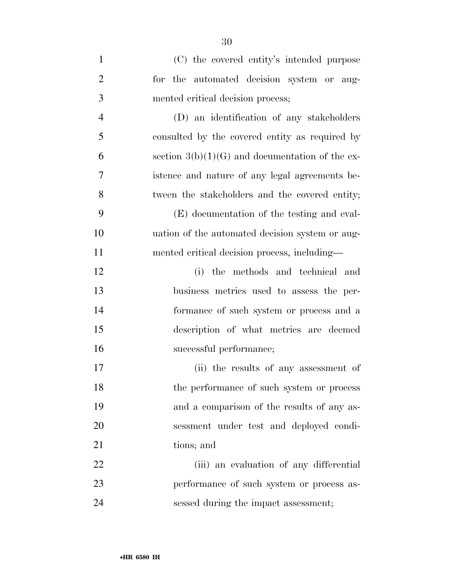| $\mathbf{1}$   | (C) the covered entity's intended purpose         |
|----------------|---------------------------------------------------|
| $\overline{2}$ | for the automated decision system or aug-         |
| 3              | mented critical decision process;                 |
| $\overline{4}$ | (D) an identification of any stakeholders         |
| 5              | consulted by the covered entity as required by    |
| 6              | section $3(b)(1)(G)$ and documentation of the ex- |
| 7              | istence and nature of any legal agreements be-    |
| 8              | tween the stakeholders and the covered entity;    |
| 9              | (E) documentation of the testing and eval-        |
| 10             | uation of the automated decision system or aug-   |
| 11             | mented critical decision process, including—      |
| 12             | the methods and technical and<br>(i)              |
| 13             | business metrics used to assess the per-          |
| 14             | formance of such system or process and a          |
| 15             | description of what metrics are deemed            |
| 16             | successful performance;                           |
| 17             | (ii) the results of any assessment of             |
| 18             | the performance of such system or process         |
| 19             | and a comparison of the results of any as-        |
| 20             | sessment under test and deployed condi-           |
| 21             | tions; and                                        |
| 22             | (iii) an evaluation of any differential           |
| 23             | performance of such system or process as-         |
| 24             | sessed during the impact assessment;              |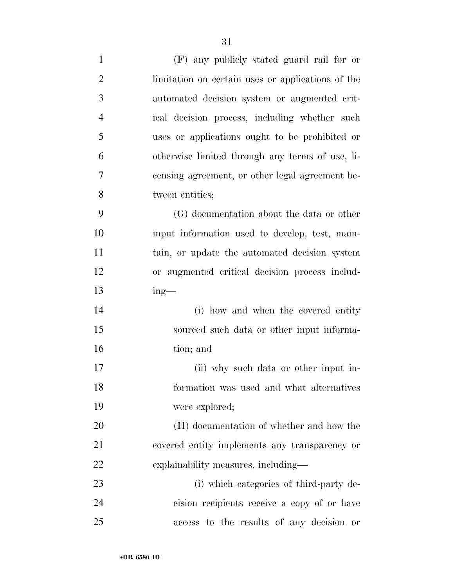- (F) any publicly stated guard rail for or limitation on certain uses or applications of the automated decision system or augmented crit- ical decision process, including whether such uses or applications ought to be prohibited or otherwise limited through any terms of use, li- censing agreement, or other legal agreement be- tween entities; (G) documentation about the data or other input information used to develop, test, main-11 tain, or update the automated decision system or augmented critical decision process includ- ing— 14 (i) how and when the covered entity sourced such data or other input informa- tion; and (ii) why such data or other input in- formation was used and what alternatives were explored; (H) documentation of whether and how the covered entity implements any transparency or explainability measures, including— (i) which categories of third-party de-
- cision recipients receive a copy of or have access to the results of any decision or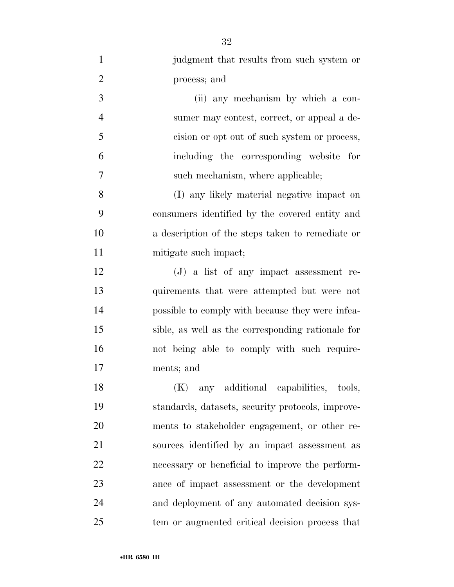| $\mathbf{1}$   | judgment that results from such system or         |
|----------------|---------------------------------------------------|
| $\overline{2}$ | process; and                                      |
| 3              | (ii) any mechanism by which a con-                |
| $\overline{4}$ | sumer may contest, correct, or appeal a de-       |
| 5              | cision or opt out of such system or process,      |
| 6              | including the corresponding website for           |
| 7              | such mechanism, where applicable;                 |
| 8              | (I) any likely material negative impact on        |
| 9              | consumers identified by the covered entity and    |
| 10             | a description of the steps taken to remediate or  |
| 11             | mitigate such impact;                             |
| 12             | $(J)$ a list of any impact assessment re-         |
| 13             | quirements that were attempted but were not       |
| 14             | possible to comply with because they were infea-  |
| 15             | sible, as well as the corresponding rationale for |
| 16             | not being able to comply with such require-       |
| 17             | ments; and                                        |
| 18             | (K)<br>any additional capabilities, tools,        |
| 19             | standards, datasets, security protocols, improve- |
| 20             | ments to stakeholder engagement, or other re-     |
| 21             | sources identified by an impact assessment as     |
| 22             | necessary or beneficial to improve the perform-   |
| 23             | ance of impact assessment or the development      |
| 24             | and deployment of any automated decision sys-     |
| 25             | tem or augmented critical decision process that   |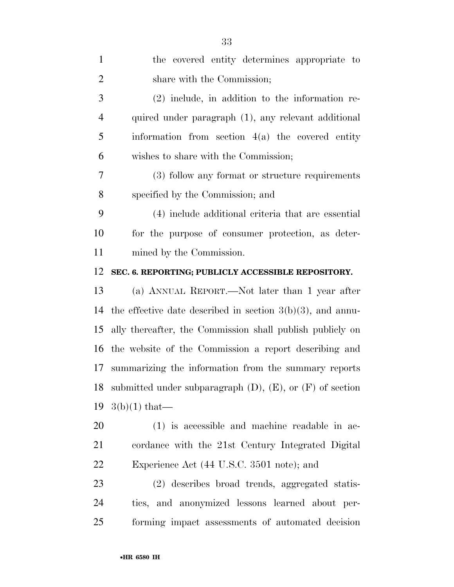| $\mathbf{1}$   | the covered entity determines appropriate to                     |
|----------------|------------------------------------------------------------------|
| $\overline{2}$ | share with the Commission;                                       |
| 3              | $(2)$ include, in addition to the information re-                |
| 4              | quired under paragraph (1), any relevant additional              |
| 5              | information from section $4(a)$ the covered entity               |
| 6              | wishes to share with the Commission;                             |
| 7              | (3) follow any format or structure requirements                  |
| 8              | specified by the Commission; and                                 |
| 9              | (4) include additional criteria that are essential               |
| 10             | for the purpose of consumer protection, as deter-                |
| 11             | mined by the Commission.                                         |
| 12             | SEC. 6. REPORTING; PUBLICLY ACCESSIBLE REPOSITORY.               |
| 13             | (a) ANNUAL REPORT.—Not later than 1 year after                   |
| 14             | the effective date described in section $3(b)(3)$ , and annu-    |
| 15             | ally thereafter, the Commission shall publish publicly on        |
| 16             | the website of the Commission a report describing and            |
| 17             | summarizing the information from the summary reports             |
| 18             | submitted under subparagraph $(D)$ , $(E)$ , or $(F)$ of section |
| 19             | $3(b)(1)$ that—                                                  |
| 20             | $(1)$ is accessible and machine readable in ac-                  |
| 21             | cordance with the 21st Century Integrated Digital                |
| 22             | Experience Act (44 U.S.C. 3501 note); and                        |
| 23             | (2) describes broad trends, aggregated statis-                   |
| 24             | tics, and anonymized lessons learned about per-                  |
| 25             | forming impact assessments of automated decision                 |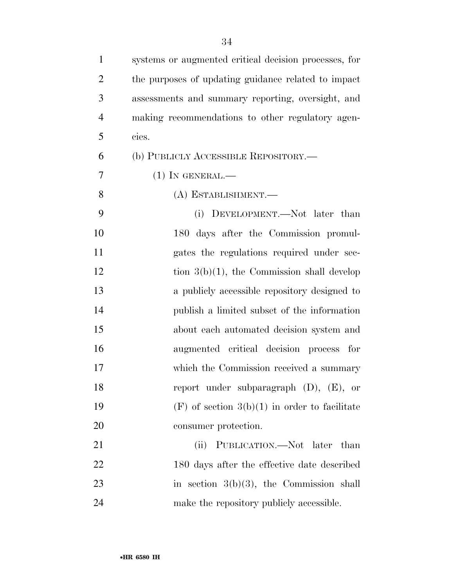| $\mathbf{1}$   | systems or augmented critical decision processes, for |
|----------------|-------------------------------------------------------|
| $\overline{2}$ | the purposes of updating guidance related to impact   |
| 3              | assessments and summary reporting, oversight, and     |
| $\overline{4}$ | making recommendations to other regulatory agen-      |
| 5              | cies.                                                 |
| 6              | (b) PUBLICLY ACCESSIBLE REPOSITORY.—                  |
| 7              | $(1)$ In GENERAL.—                                    |
| 8              | (A) ESTABLISHMENT.—                                   |
| 9              | (i) DEVELOPMENT.—Not later than                       |
| 10             | 180 days after the Commission promul-                 |
| 11             | gates the regulations required under sec-             |
| 12             | tion $3(b)(1)$ , the Commission shall develop         |
| 13             | a publicly accessible repository designed to          |
| 14             | publish a limited subset of the information           |
| 15             | about each automated decision system and              |
| 16             | augmented critical decision process for               |
| 17             | which the Commission received a summary               |
| 18             | report under subparagraph $(D)$ , $(E)$ , or          |
| 19             | $(F)$ of section $3(b)(1)$ in order to facilitate     |
| 20             | consumer protection.                                  |
| 21             | (ii)<br>PUBLICATION.—Not later than                   |
| 22             | 180 days after the effective date described           |
| 23             | in section $3(b)(3)$ , the Commission shall           |
| 24             | make the repository publicly accessible.              |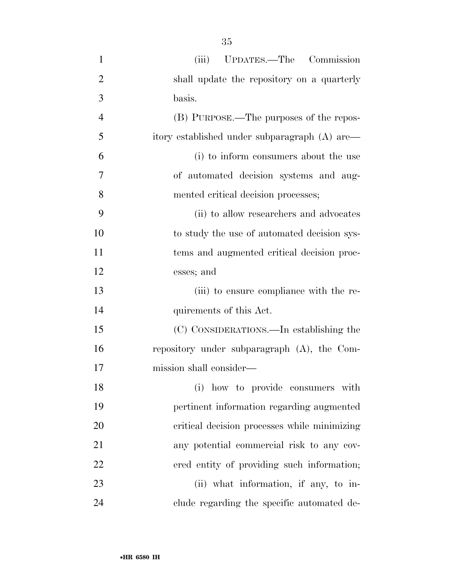| $\mathbf{1}$   | UPDATES.—The Commission<br>(iii)              |
|----------------|-----------------------------------------------|
| $\overline{2}$ | shall update the repository on a quarterly    |
| 3              | basis.                                        |
| $\overline{4}$ | (B) PURPOSE.—The purposes of the repos-       |
| 5              | itory established under subparagraph (A) are— |
| 6              | (i) to inform consumers about the use         |
| 7              | of automated decision systems and aug-        |
| 8              | mented critical decision processes;           |
| 9              | (ii) to allow researchers and advocates       |
| 10             | to study the use of automated decision sys-   |
| 11             | tems and augmented critical decision proc-    |
| 12             | esses; and                                    |
| 13             | (iii) to ensure compliance with the re-       |
| 14             | quirements of this Act.                       |
| 15             | (C) CONSIDERATIONS.—In establishing the       |
| 16             | repository under subparagraph (A), the Com-   |
| 17             | mission shall consider—                       |
| 18             | (i) how to provide consumers with             |
| 19             | pertinent information regarding augmented     |
| 20             | critical decision processes while minimizing  |
| 21             | any potential commercial risk to any cov-     |
| 22             | ered entity of providing such information;    |
| 23             | (ii) what information, if any, to in-         |
| 24             | clude regarding the specific automated de-    |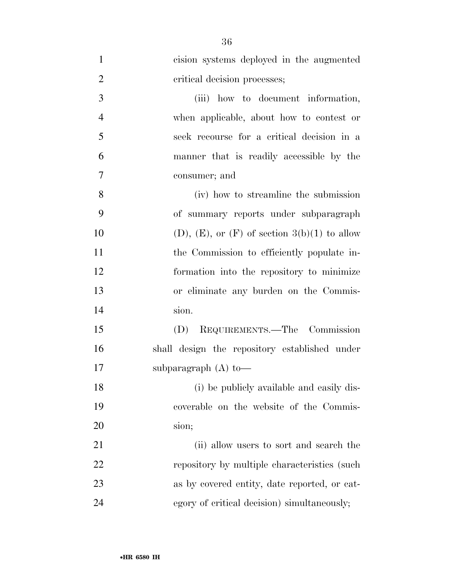| $\mathbf{1}$   | cision systems deployed in the augmented               |
|----------------|--------------------------------------------------------|
| $\overline{2}$ | critical decision processes;                           |
| 3              | (iii) how to document information,                     |
| $\overline{4}$ | when applicable, about how to contest or               |
| 5              | seek recourse for a critical decision in a             |
| 6              | manner that is readily accessible by the               |
| $\overline{7}$ | consumer; and                                          |
| 8              | (iv) how to streamline the submission                  |
| 9              | of summary reports under subparagraph                  |
| 10             | $(D)$ , $(E)$ , or $(F)$ of section $3(b)(1)$ to allow |
| 11             | the Commission to efficiently populate in-             |
| 12             | formation into the repository to minimize              |
| 13             | or eliminate any burden on the Commis-                 |
| 14             | sion.                                                  |
| 15             | (D) REQUIREMENTS.—The Commission                       |
| 16             | shall design the repository established under          |
| 17             | subparagraph $(A)$ to —                                |
| 18             | (i) be publicly available and easily dis-              |
| 19             | coverable on the website of the Commis-                |
| <b>20</b>      | sion;                                                  |
| 21             | (ii) allow users to sort and search the                |
| 22             | repository by multiple characteristics (such           |
| 23             | as by covered entity, date reported, or cat-           |
| 24             | egory of critical decision) simultaneously;            |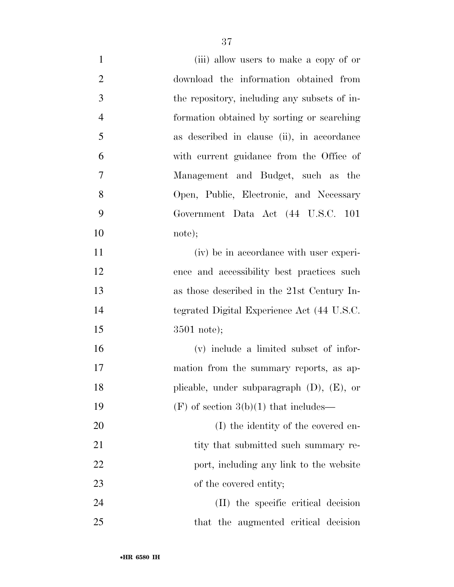| $\mathbf{1}$   | (iii) allow users to make a copy of or          |
|----------------|-------------------------------------------------|
| $\overline{2}$ | download the information obtained from          |
| 3              | the repository, including any subsets of in-    |
| $\overline{4}$ | formation obtained by sorting or searching      |
| 5              | as described in clause (ii), in accordance      |
| 6              | with current guidance from the Office of        |
| $\overline{7}$ | Management and Budget, such as the              |
| 8              | Open, Public, Electronic, and Necessary         |
| 9              | Government Data Act (44 U.S.C. 101              |
| 10             | note);                                          |
| 11             | (iv) be in accordance with user experi-         |
| 12             | ence and accessibility best practices such      |
| 13             | as those described in the 21st Century In-      |
| 14             | tegrated Digital Experience Act (44 U.S.C.      |
| 15             | $3501$ note);                                   |
| 16             | (v) include a limited subset of infor-          |
| 17             | mation from the summary reports, as ap-         |
| 18             | plicable, under subparagraph $(D)$ , $(E)$ , or |
| 19             | $(F)$ of section 3(b)(1) that includes—         |
| 20             | (I) the identity of the covered en-             |
| 21             | tity that submitted such summary re-            |
| 22             | port, including any link to the website         |
| 23             | of the covered entity;                          |
| 24             | (II) the specific critical decision             |
| 25             | that the augmented critical decision            |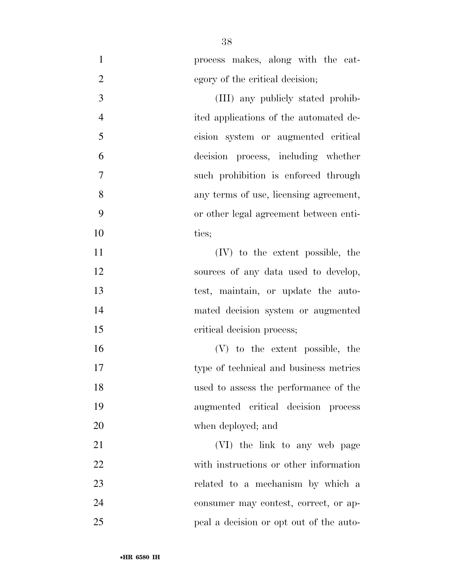| $\mathbf{1}$   | process makes, along with the cat-      |
|----------------|-----------------------------------------|
| $\overline{2}$ | egory of the critical decision;         |
| 3              | (III) any publicly stated prohib-       |
| $\overline{4}$ | ited applications of the automated de-  |
| 5              | cision system or augmented critical     |
| 6              | decision process, including whether     |
| 7              | such prohibition is enforced through    |
| 8              | any terms of use, licensing agreement,  |
| 9              | or other legal agreement between enti-  |
| 10             | ties;                                   |
| 11             | (IV) to the extent possible, the        |
| 12             | sources of any data used to develop,    |
| 13             | test, maintain, or update the auto-     |
| 14             | mated decision system or augmented      |
| 15             | critical decision process;              |
| 16             | (V) to the extent possible, the         |
| 17             | type of technical and business metrics  |
| 18             | used to assess the performance of the   |
| 19             | augmented critical decision process     |
| 20             | when deployed; and                      |
| 21             | (VI) the link to any web page           |
| 22             | with instructions or other information  |
| 23             | related to a mechanism by which a       |
| 24             | consumer may contest, correct, or ap-   |
| 25             | peal a decision or opt out of the auto- |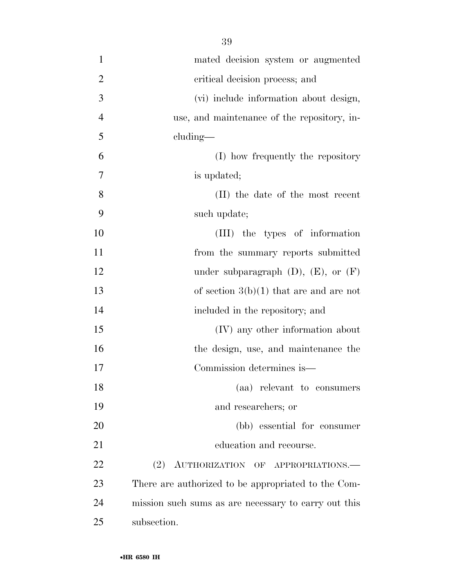| $\mathbf{1}$   | mated decision system or augmented                   |
|----------------|------------------------------------------------------|
| $\overline{2}$ | critical decision process; and                       |
| 3              | (vi) include information about design,               |
| $\overline{4}$ | use, and maintenance of the repository, in-          |
| 5              | cluding—                                             |
| 6              | (I) how frequently the repository                    |
| 7              | is updated;                                          |
| 8              | (II) the date of the most recent                     |
| 9              | such update;                                         |
| 10             | (III) the types of information                       |
| 11             | from the summary reports submitted                   |
| 12             | under subparagraph $(D)$ , $(E)$ , or $(F)$          |
| 13             | of section $3(b)(1)$ that are and are not            |
| 14             | included in the repository; and                      |
| 15             | (IV) any other information about                     |
| 16             | the design, use, and maintenance the                 |
| 17             | Commission determines is—                            |
| 18             | (aa) relevant to consumers                           |
| 19             | and researchers; or                                  |
| 20             | (bb) essential for consumer                          |
| 21             | education and recourse.                              |
| 22             | AUTHORIZATION OF APPROPRIATIONS.<br>(2)              |
| 23             | There are authorized to be appropriated to the Com-  |
| 24             | mission such sums as are necessary to carry out this |
| 25             | subsection.                                          |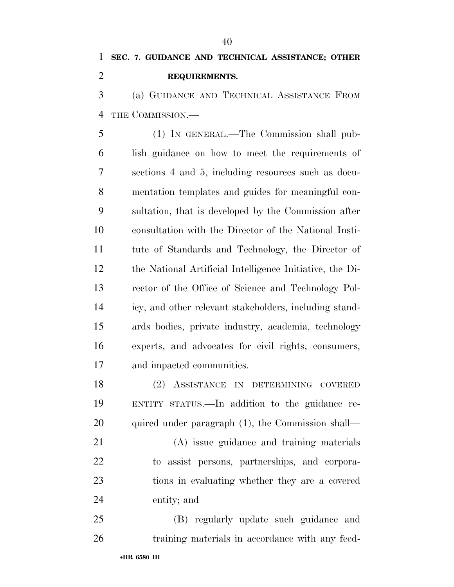(a) GUIDANCE AND TECHNICAL ASSISTANCE FROM THE COMMISSION.—

 (1) IN GENERAL.—The Commission shall pub- lish guidance on how to meet the requirements of sections 4 and 5, including resources such as docu- mentation templates and guides for meaningful con- sultation, that is developed by the Commission after consultation with the Director of the National Insti- tute of Standards and Technology, the Director of the National Artificial Intelligence Initiative, the Di- rector of the Office of Science and Technology Pol- icy, and other relevant stakeholders, including stand- ards bodies, private industry, academia, technology experts, and advocates for civil rights, consumers, and impacted communities.

 (2) ASSISTANCE IN DETERMINING COVERED ENTITY STATUS.—In addition to the guidance re-20 quired under paragraph (1), the Commission shall—

 (A) issue guidance and training materials to assist persons, partnerships, and corpora- tions in evaluating whether they are a covered entity; and

 (B) regularly update such guidance and training materials in accordance with any feed-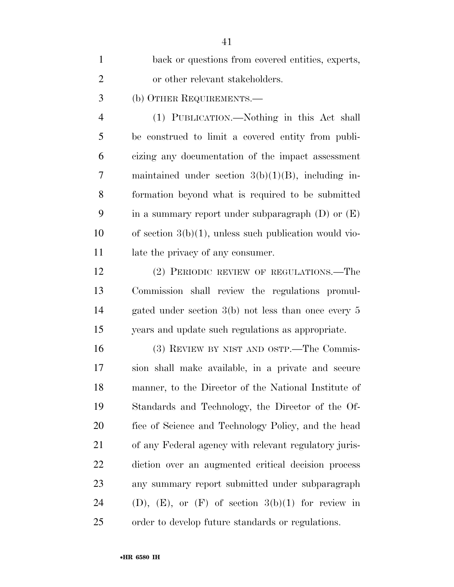| $\mathbf{1}$   | back or questions from covered entities, experts,           |
|----------------|-------------------------------------------------------------|
| $\overline{2}$ | or other relevant stakeholders.                             |
| 3              | (b) OTHER REQUIREMENTS.—                                    |
| $\overline{4}$ | (1) PUBLICATION.—Nothing in this Act shall                  |
| 5              | be construed to limit a covered entity from publi-          |
| 6              | cizing any documentation of the impact assessment           |
| 7              | maintained under section $3(b)(1)(B)$ , including in-       |
| 8              | formation beyond what is required to be submitted           |
| 9              | in a summary report under subparagraph $(D)$ or $(E)$       |
| 10             | of section $3(b)(1)$ , unless such publication would vio-   |
| 11             | late the privacy of any consumer.                           |
| 12             | (2) PERIODIC REVIEW OF REGULATIONS.—The                     |
| 13             | Commission shall review the regulations promul-             |
| 14             | gated under section $3(b)$ not less than once every 5       |
| 15             | years and update such regulations as appropriate.           |
| 16             | (3) REVIEW BY NIST AND OSTP.—The Commis-                    |
| 17             | sion shall make available, in a private and secure          |
| 18             | manner, to the Director of the National Institute of        |
| 19             | Standards and Technology, the Director of the Of-           |
| 20             | fice of Science and Technology Policy, and the head         |
| 21             | of any Federal agency with relevant regulatory juris-       |
| 22             | diction over an augmented critical decision process         |
| 23             | any summary report submitted under subparagraph             |
| 24             | $(D)$ , $(E)$ , or $(F)$ of section $3(b)(1)$ for review in |
| 25             | order to develop future standards or regulations.           |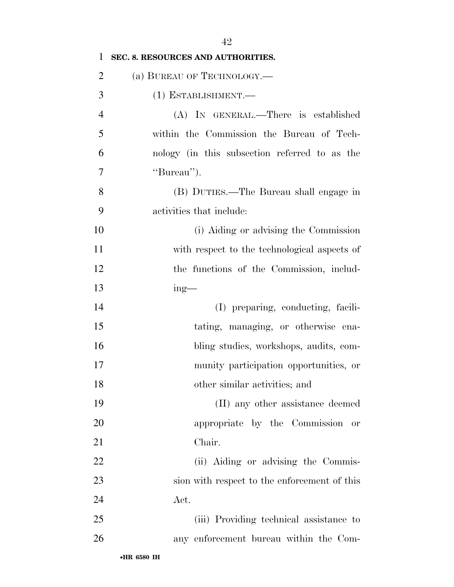| 1              | SEC. 8. RESOURCES AND AUTHORITIES.            |
|----------------|-----------------------------------------------|
| 2              | (a) BUREAU OF TECHNOLOGY.—                    |
| 3              | $(1)$ ESTABLISHMENT.—                         |
| $\overline{4}$ | (A) IN GENERAL.—There is established          |
| 5              | within the Commission the Bureau of Tech-     |
| 6              | nology (in this subsection referred to as the |
| 7              | "Bureau").                                    |
| 8              | (B) DUTIES.—The Bureau shall engage in        |
| 9              | activities that include:                      |
| 10             | (i) Aiding or advising the Commission         |
| 11             | with respect to the technological aspects of  |
| 12             | the functions of the Commission, includ-      |
| 13             | $ing$ —                                       |
| 14             | (I) preparing, conducting, facili-            |
| 15             | tating, managing, or otherwise ena-           |
| 16             | bling studies, workshops, audits, com-        |
| 17             | munity participation opportunities, or        |
| 18             | other similar activities; and                 |
| 19             | (II) any other assistance deemed              |
| 20             | appropriate by the Commission or              |
| 21             | Chair.                                        |
| 22             | (ii) Aiding or advising the Commis-           |
| 23             | sion with respect to the enforcement of this  |
| 24             | Act.                                          |
| 25             | (iii) Providing technical assistance to       |
| 26             | any enforcement bureau within the Com-        |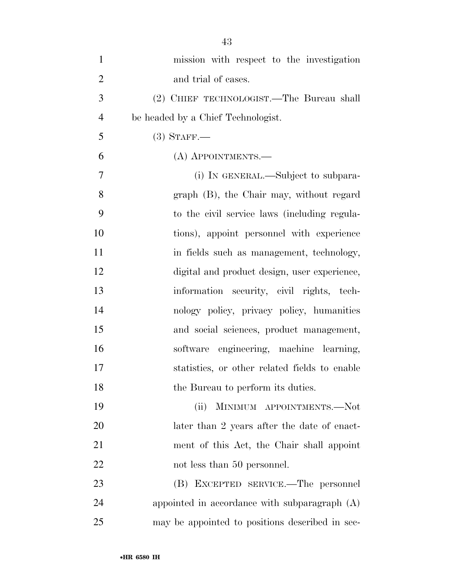| $\mathbf{1}$   | mission with respect to the investigation       |
|----------------|-------------------------------------------------|
| $\overline{2}$ | and trial of cases.                             |
| 3              | (2) CHIEF TECHNOLOGIST.—The Bureau shall        |
| $\overline{4}$ | be headed by a Chief Technologist.              |
| 5              | $(3)$ STAFF.—                                   |
| 6              | (A) APPOINTMENTS.—                              |
| $\overline{7}$ | (i) IN GENERAL.—Subject to subpara-             |
| 8              | graph (B), the Chair may, without regard        |
| 9              | to the civil service laws (including regula-    |
| 10             | tions), appoint personnel with experience       |
| 11             | in fields such as management, technology,       |
| 12             | digital and product design, user experience,    |
| 13             | information security, civil rights, tech-       |
| 14             | nology policy, privacy policy, humanities       |
| 15             | and social sciences, product management,        |
| 16             | software engineering, machine learning,         |
| 17             | statistics, or other related fields to enable   |
| 18             | the Bureau to perform its duties.               |
| 19             | MINIMUM APPOINTMENTS.-Not<br>(ii)               |
| 20             | later than 2 years after the date of enact-     |
| 21             | ment of this Act, the Chair shall appoint       |
| 22             | not less than 50 personnel.                     |
| 23             | (B) EXCEPTED SERVICE.—The personnel             |
| 24             | appointed in accordance with subparagraph $(A)$ |
| 25             | may be appointed to positions described in sec- |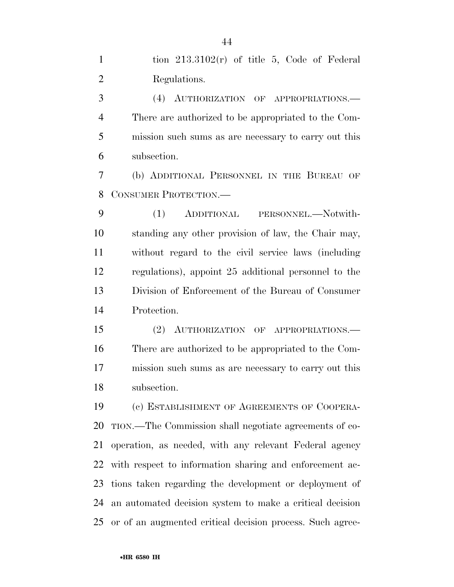1 tion  $213.3102(r)$  of title 5, Code of Federal Regulations.

 (4) AUTHORIZATION OF APPROPRIATIONS.— There are authorized to be appropriated to the Com- mission such sums as are necessary to carry out this subsection.

 (b) ADDITIONAL PERSONNEL IN THE BUREAU OF CONSUMER PROTECTION.—

 (1) ADDITIONAL PERSONNEL.—Notwith- standing any other provision of law, the Chair may, without regard to the civil service laws (including regulations), appoint 25 additional personnel to the Division of Enforcement of the Bureau of Consumer Protection.

 (2) AUTHORIZATION OF APPROPRIATIONS.— There are authorized to be appropriated to the Com- mission such sums as are necessary to carry out this subsection.

 (c) ESTABLISHMENT OF AGREEMENTS OF COOPERA- TION.—The Commission shall negotiate agreements of co- operation, as needed, with any relevant Federal agency with respect to information sharing and enforcement ac- tions taken regarding the development or deployment of an automated decision system to make a critical decision or of an augmented critical decision process. Such agree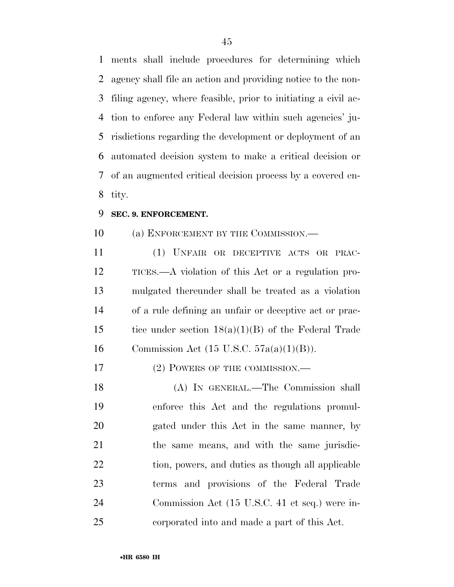ments shall include procedures for determining which agency shall file an action and providing notice to the non- filing agency, where feasible, prior to initiating a civil ac- tion to enforce any Federal law within such agencies' ju- risdictions regarding the development or deployment of an automated decision system to make a critical decision or of an augmented critical decision process by a covered en-tity.

#### **SEC. 9. ENFORCEMENT.**

10 (a) ENFORCEMENT BY THE COMMISSION.—

 (1) UNFAIR OR DECEPTIVE ACTS OR PRAC- TICES.—A violation of this Act or a regulation pro- mulgated thereunder shall be treated as a violation of a rule defining an unfair or deceptive act or prac-15 tice under section  $18(a)(1)(B)$  of the Federal Trade 16 Commission Act (15 U.S.C.  $57a(a)(1)(B)$ ).

17 (2) POWERS OF THE COMMISSION.—

 (A) IN GENERAL.—The Commission shall enforce this Act and the regulations promul- gated under this Act in the same manner, by the same means, and with the same jurisdic-22 tion, powers, and duties as though all applicable terms and provisions of the Federal Trade Commission Act (15 U.S.C. 41 et seq.) were in-corporated into and made a part of this Act.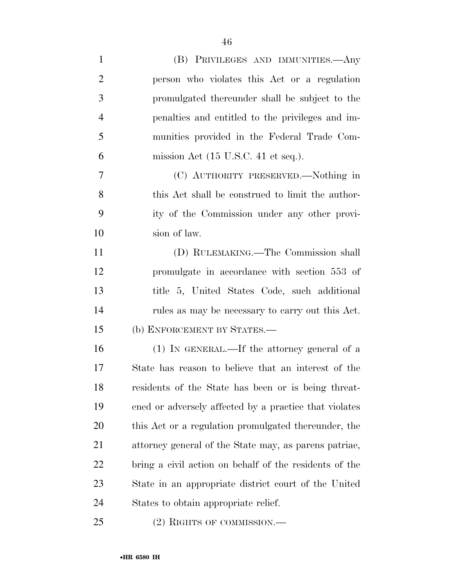| $\mathbf{1}$   | (B) PRIVILEGES AND IMMUNITIES.—Any                     |
|----------------|--------------------------------------------------------|
| $\overline{2}$ | person who violates this Act or a regulation           |
| 3              | promulgated thereunder shall be subject to the         |
| 4              | penalties and entitled to the privileges and im-       |
| 5              | munities provided in the Federal Trade Com-            |
| 6              | mission Act $(15 \text{ U.S.C. } 41 \text{ et seq.}).$ |
| 7              | (C) AUTHORITY PRESERVED.—Nothing in                    |
| 8              | this Act shall be construed to limit the author-       |
| 9              | ity of the Commission under any other provi-           |
| 10             | sion of law.                                           |
| 11             | (D) RULEMAKING.—The Commission shall                   |
| 12             | promulgate in accordance with section 553 of           |
| 13             | title 5, United States Code, such additional           |
| 14             | rules as may be necessary to carry out this Act.       |
| 15             | (b) ENFORCEMENT BY STATES.—                            |
| 16             | (1) IN GENERAL.—If the attorney general of a           |
| 17             | State has reason to believe that an interest of the    |
| 18             | residents of the State has been or is being threat-    |
| 19             | ened or adversely affected by a practice that violates |
| 20             | this Act or a regulation promulgated thereunder, the   |
| 21             | attorney general of the State may, as parens patriae,  |
| 22             | bring a civil action on behalf of the residents of the |
| 23             | State in an appropriate district court of the United   |
| 24             | States to obtain appropriate relief.                   |
| 25             | $(2)$ RIGHTS OF COMMISSION.—                           |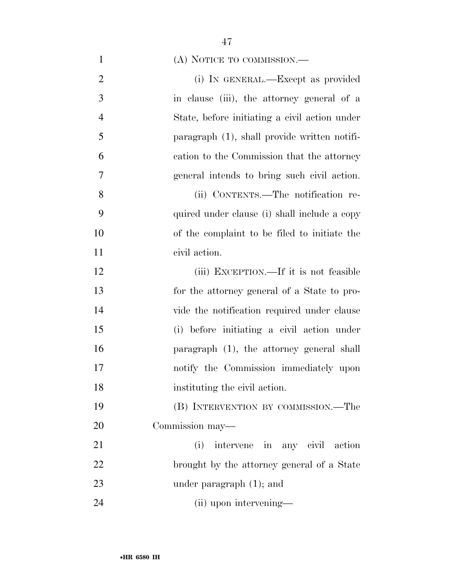(A) NOTICE TO COMMISSION.—

| $\overline{2}$ | (i) IN GENERAL.—Except as provided              |
|----------------|-------------------------------------------------|
| 3              | in clause (iii), the attorney general of a      |
| $\overline{4}$ | State, before initiating a civil action under   |
| 5              | paragraph $(1)$ , shall provide written notifi- |
| 6              | cation to the Commission that the attorney      |
| 7              | general intends to bring such civil action.     |
| 8              | (ii) CONTENTS.—The notification re-             |
| 9              | quired under clause (i) shall include a copy    |
| 10             | of the complaint to be filed to initiate the    |
| 11             | civil action.                                   |
| 12             | (iii) EXCEPTION.—If it is not feasible          |
| 13             | for the attorney general of a State to pro-     |
| 14             | vide the notification required under clause     |
| 15             | (i) before initiating a civil action under      |
| 16             | paragraph (1), the attorney general shall       |
| 17             | notify the Commission immediately upon          |
| 18             | instituting the civil action.                   |
| 19             | (B) INTERVENTION BY COMMISSION.—The             |
| 20             | Commission may-                                 |
| 21             | (i)<br>intervene in any civil action            |
| 22             | brought by the attorney general of a State      |
| 23             | under paragraph $(1)$ ; and                     |
| 24             | (ii) upon intervening—                          |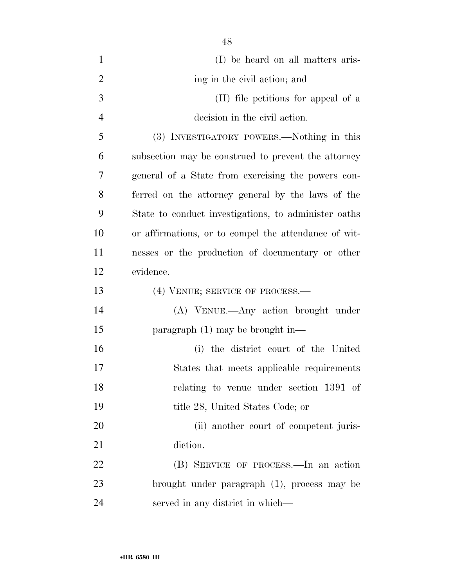| $\mathbf{1}$   | (I) be heard on all matters aris-                    |
|----------------|------------------------------------------------------|
| $\overline{2}$ | ing in the civil action; and                         |
| 3              | (II) file petitions for appeal of a                  |
| $\overline{4}$ | decision in the civil action.                        |
| 5              | (3) INVESTIGATORY POWERS.—Nothing in this            |
| 6              | subsection may be construed to prevent the attorney  |
| 7              | general of a State from exercising the powers con-   |
| 8              | ferred on the attorney general by the laws of the    |
| 9              | State to conduct investigations, to administer oaths |
| 10             | or affirmations, or to compel the attendance of wit- |
| 11             | nesses or the production of documentary or other     |
| 12             | evidence.                                            |
| 13             | (4) VENUE; SERVICE OF PROCESS.—                      |
| 14             | (A) VENUE.—Any action brought under                  |
| 15             | paragraph $(1)$ may be brought in—                   |
| 16             | (i) the district court of the United                 |
| 17             | States that meets applicable requirements            |
| 18             | relating to venue under section 1391 of              |
| 19             | title 28, United States Code; or                     |
| 20             | (ii) another court of competent juris-               |
| 21             | diction.                                             |
| 22             | (B) SERVICE OF PROCESS.—In an action                 |
| 23             | brought under paragraph (1), process may be          |
| 24             | served in any district in which—                     |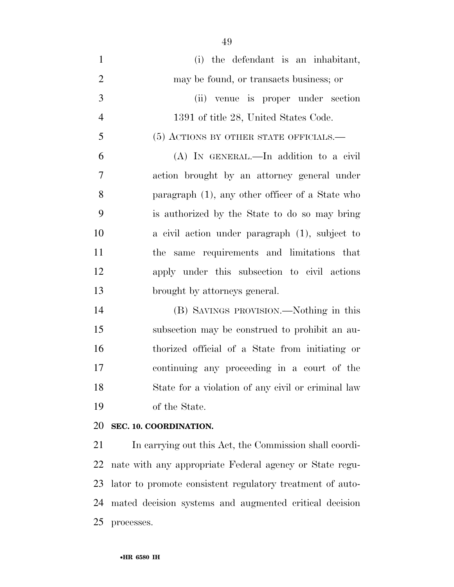(i) the defendant is an inhabitant, may be found, or transacts business; or (ii) venue is proper under section 1391 of title 28, United States Code. (5) ACTIONS BY OTHER STATE OFFICIALS.— (A) IN GENERAL.—In addition to a civil action brought by an attorney general under paragraph (1), any other officer of a State who is authorized by the State to do so may bring a civil action under paragraph (1), subject to the same requirements and limitations that apply under this subsection to civil actions brought by attorneys general.

 (B) SAVINGS PROVISION.—Nothing in this subsection may be construed to prohibit an au- thorized official of a State from initiating or continuing any proceeding in a court of the State for a violation of any civil or criminal law of the State.

#### **SEC. 10. COORDINATION.**

 In carrying out this Act, the Commission shall coordi- nate with any appropriate Federal agency or State regu- lator to promote consistent regulatory treatment of auto- mated decision systems and augmented critical decision processes.